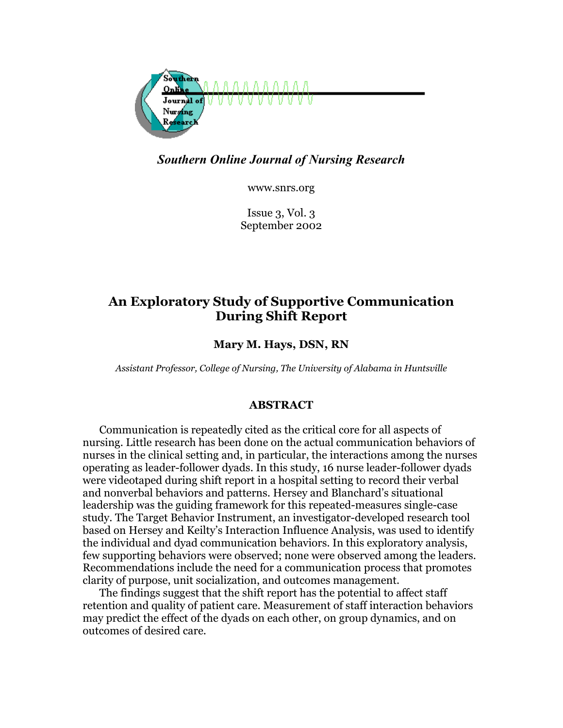

*Southern Online Journal of Nursing Research* 

www.snrs.org

Issue 3, Vol. 3 September 2002

# **An Exploratory Study of Supportive Communication During Shift Report**

**Mary M. Hays, DSN, RN** 

*Assistant Professor, College of Nursing, The University of Alabama in Huntsville* 

# **ABSTRACT**

Communication is repeatedly cited as the critical core for all aspects of nursing. Little research has been done on the actual communication behaviors of nurses in the clinical setting and, in particular, the interactions among the nurses operating as leader-follower dyads. In this study, 16 nurse leader-follower dyads were videotaped during shift report in a hospital setting to record their verbal and nonverbal behaviors and patterns. Hersey and Blanchard's situational leadership was the guiding framework for this repeated-measures single-case study. The Target Behavior Instrument, an investigator-developed research tool based on Hersey and Keilty's Interaction Influence Analysis, was used to identify the individual and dyad communication behaviors. In this exploratory analysis, few supporting behaviors were observed; none were observed among the leaders. Recommendations include the need for a communication process that promotes clarity of purpose, unit socialization, and outcomes management.

The findings suggest that the shift report has the potential to affect staff retention and quality of patient care. Measurement of staff interaction behaviors may predict the effect of the dyads on each other, on group dynamics, and on outcomes of desired care.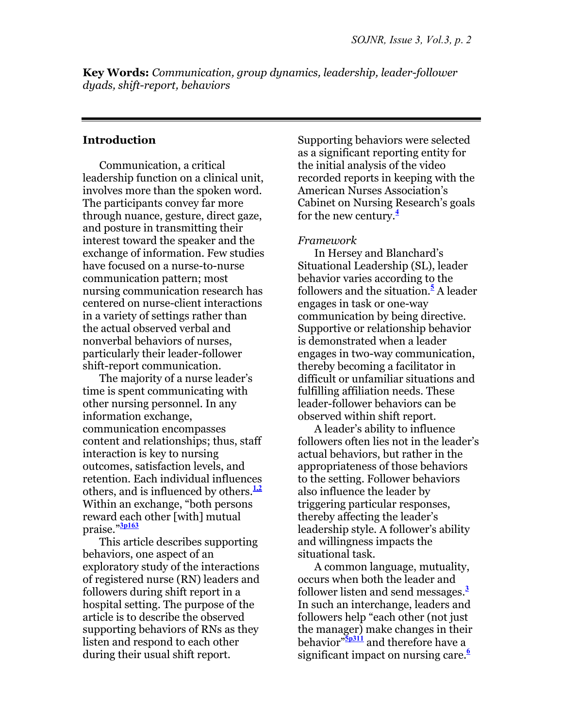**Key Words:** *Communication, group dynamics, leadership, leader-follower dyads, shift-report, behaviors*

# **Introduction**

Communication, a critical leadership function on a clinical unit, involves more than the spoken word. The participants convey far more through nuance, gesture, direct gaze, and posture in transmitting their interest toward the speaker and the exchange of information. Few studies have focused on a nurse-to-nurse communication pattern; most nursing communication research has centered on nurse-client interactions in a variety of settings rather than the actual observed verbal and nonverbal behaviors of nurses, particularly their leader-follower shift-report communication.

The majority of a nurse leader's time is spent communicating with other nursing personnel. In any information exchange, communication encompasses content and relationships; thus, staff interaction is key to nursing outcomes, satisfaction levels, and retention. Each individual influences others, and is influenced by others.**1,2** Within an exchange, "both persons reward each other [with] mutual praise."**3p163**

This article describes supporting behaviors, one aspect of an exploratory study of the interactions of registered nurse (RN) leaders and followers during shift report in a hospital setting. The purpose of the article is to describe the observed supporting behaviors of RNs as they listen and respond to each other during their usual shift report.

Supporting behaviors were selected as a significant reporting entity for the initial analysis of the video recorded reports in keeping with the American Nurses Association's Cabinet on Nursing Research's goals for the new century.**<sup>4</sup>**

### *Framework*

In Hersey and Blanchard's Situational Leadership (SL), leader behavior varies according to the followers and the situation.**<sup>5</sup>** A leader engages in task or one-way communication by being directive. Supportive or relationship behavior is demonstrated when a leader engages in two-way communication, thereby becoming a facilitator in difficult or unfamiliar situations and fulfilling affiliation needs. These leader-follower behaviors can be observed within shift report.

A leader's ability to influence followers often lies not in the leader's actual behaviors, but rather in the appropriateness of those behaviors to the setting. Follower behaviors also influence the leader by triggering particular responses, thereby affecting the leader's leadership style. A follower's ability and willingness impacts the situational task.

A common language, mutuality, occurs when both the leader and follower listen and send messages.**<sup>3</sup>** In such an interchange, leaders and followers help "each other (not just the manager) make changes in their behavior"**5p311** and therefore have a significant impact on nursing care.**<sup>6</sup>**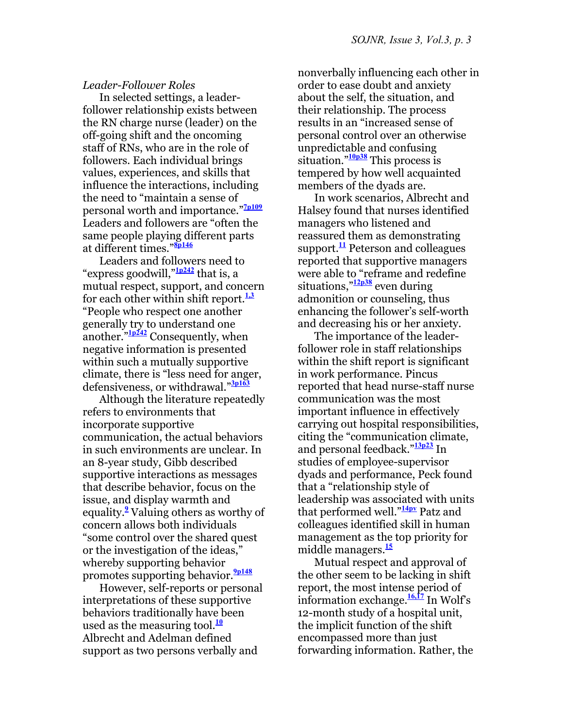#### *Leader-Follower Roles*

In selected settings, a leaderfollower relationship exists between the RN charge nurse (leader) on the off-going shift and the oncoming staff of RNs, who are in the role of followers. Each individual brings values, experiences, and skills that influence the interactions, including the need to "maintain a sense of personal worth and importance."**7p109** Leaders and followers are "often the same people playing different parts at different times."**8p146**

Leaders and followers need to "express goodwill,"**1p242** that is, a mutual respect, support, and concern for each other within shift report.**1,3** "People who respect one another generally try to understand one another."**1p242** Consequently, when negative information is presented within such a mutually supportive climate, there is "less need for anger, defensiveness, or withdrawal."**3p163**

Although the literature repeatedly refers to environments that incorporate supportive communication, the actual behaviors in such environments are unclear. In an 8-year study, Gibb described supportive interactions as messages that describe behavior, focus on the issue, and display warmth and equality.**<sup>9</sup>** Valuing others as worthy of concern allows both individuals "some control over the shared quest or the investigation of the ideas," whereby supporting behavior promotes supporting behavior.**9p148**

However, self-reports or personal interpretations of these supportive behaviors traditionally have been used as the measuring tool.**<sup>10</sup>** Albrecht and Adelman defined support as two persons verbally and

nonverbally influencing each other in order to ease doubt and anxiety about the self, the situation, and their relationship. The process results in an "increased sense of personal control over an otherwise unpredictable and confusing situation."**10p38** This process is tempered by how well acquainted members of the dyads are.

In work scenarios, Albrecht and Halsey found that nurses identified managers who listened and reassured them as demonstrating support. $\frac{11}{11}$  Peterson and colleagues reported that supportive managers were able to "reframe and redefine situations,"**12p38** even during admonition or counseling, thus enhancing the follower's self-worth and decreasing his or her anxiety.

The importance of the leaderfollower role in staff relationships within the shift report is significant in work performance. Pincus reported that head nurse-staff nurse communication was the most important influence in effectively carrying out hospital responsibilities, citing the "communication climate, and personal feedback."**13p23** In studies of employee-supervisor dyads and performance, Peck found that a "relationship style of leadership was associated with units that performed well."**14pv** Patz and colleagues identified skill in human management as the top priority for middle managers.**<sup>15</sup>**

Mutual respect and approval of the other seem to be lacking in shift report, the most intense period of information exchange.**16,17** In Wolf's 12-month study of a hospital unit, the implicit function of the shift encompassed more than just forwarding information. Rather, the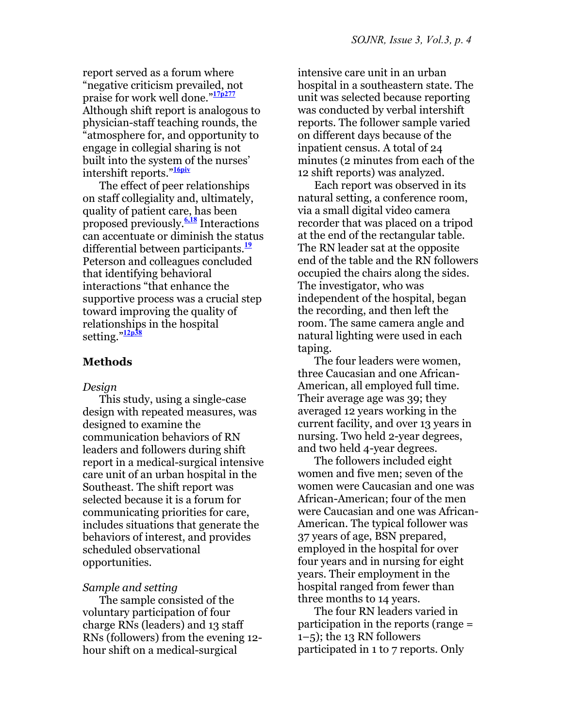report served as a forum where "negative criticism prevailed, not praise for work well done."**17p277** Although shift report is analogous to physician-staff teaching rounds, the "atmosphere for, and opportunity to engage in collegial sharing is not built into the system of the nurses' intershift reports."**16piv**

The effect of peer relationships on staff collegiality and, ultimately, quality of patient care, has been proposed previously.**6,18** Interactions can accentuate or diminish the status differential between participants.**<sup>19</sup>** Peterson and colleagues concluded that identifying behavioral interactions "that enhance the supportive process was a crucial step toward improving the quality of relationships in the hospital setting."**12p38**

### **Methods**

#### *Design*

This study, using a single-case design with repeated measures, was designed to examine the communication behaviors of RN leaders and followers during shift report in a medical-surgical intensive care unit of an urban hospital in the Southeast. The shift report was selected because it is a forum for communicating priorities for care, includes situations that generate the behaviors of interest, and provides scheduled observational opportunities.

#### *Sample and setting*

The sample consisted of the voluntary participation of four charge RNs (leaders) and 13 staff RNs (followers) from the evening 12 hour shift on a medical-surgical

intensive care unit in an urban hospital in a southeastern state. The unit was selected because reporting was conducted by verbal intershift reports. The follower sample varied on different days because of the inpatient census. A total of 24 minutes (2 minutes from each of the 12 shift reports) was analyzed.

Each report was observed in its natural setting, a conference room, via a small digital video camera recorder that was placed on a tripod at the end of the rectangular table. The RN leader sat at the opposite end of the table and the RN followers occupied the chairs along the sides. The investigator, who was independent of the hospital, began the recording, and then left the room. The same camera angle and natural lighting were used in each taping.

The four leaders were women, three Caucasian and one African-American, all employed full time. Their average age was 39; they averaged 12 years working in the current facility, and over 13 years in nursing. Two held 2-year degrees, and two held 4-year degrees.

The followers included eight women and five men; seven of the women were Caucasian and one was African-American; four of the men were Caucasian and one was African-American. The typical follower was 37 years of age, BSN prepared, employed in the hospital for over four years and in nursing for eight years. Their employment in the hospital ranged from fewer than three months to 14 years.

The four RN leaders varied in participation in the reports (range =  $1-5$ ; the 13 RN followers participated in 1 to 7 reports. Only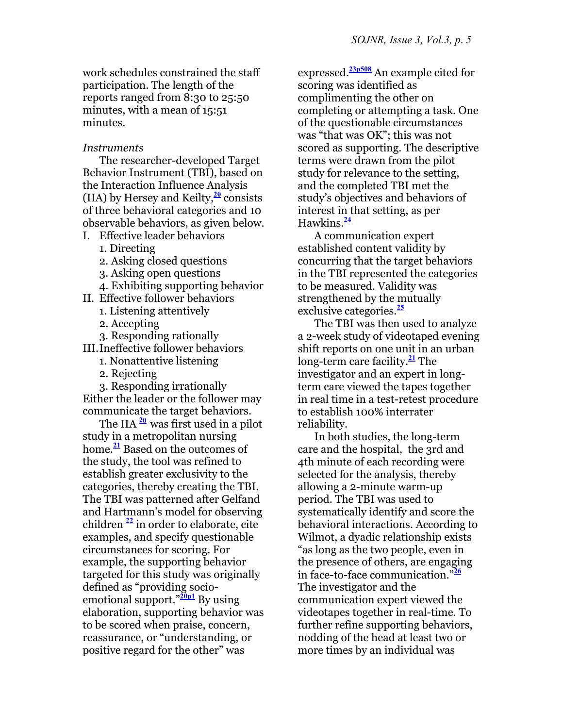work schedules constrained the staff participation. The length of the reports ranged from 8:30 to 25:50 minutes, with a mean of 15:51 minutes.

*Instruments* 

The researcher-developed Target Behavior Instrument (TBI), based on the Interaction Influence Analysis (IIA) by Hersey and Keilty,**<sup>20</sup>** consists of three behavioral categories and 10 observable behaviors, as given below.

I. Effective leader behaviors

1. Directing

2. Asking closed questions

3. Asking open questions

4. Exhibiting supporting behavior

II. Effective follower behaviors

1. Listening attentively

2. Accepting

3. Responding rationally

III. Ineffective follower behaviors

- 1. Nonattentive listening
- 2. Rejecting

 3. Responding irrationally Either the leader or the follower may communicate the target behaviors.

The IIA **<sup>2</sup><sup>0</sup>** was first used in a pilot study in a metropolitan nursing home.**<sup>21</sup>** Based on the outcomes of the study, the tool was refined to establish greater exclusivity to the categories, thereby creating the TBI. The TBI was patterned after Gelfand and Hartmann's model for observing children **<sup>22</sup>** in order to elaborate, cite examples, and specify questionable circumstances for scoring. For example, the supporting behavior targeted for this study was originally defined as "providing socioemotional support."**20p1** By using elaboration, supporting behavior was to be scored when praise, concern, reassurance, or "understanding, or positive regard for the other" was

expressed.**23p508** An example cited for scoring was identified as complimenting the other on completing or attempting a task. One of the questionable circumstances was "that was OK"; this was not scored as supporting. The descriptive terms were drawn from the pilot study for relevance to the setting, and the completed TBI met the study's objectives and behaviors of interest in that setting, as per Hawkins.**<sup>24</sup>**

A communication expert established content validity by concurring that the target behaviors in the TBI represented the categories to be measured. Validity was strengthened by the mutually exclusive categories.**<sup>25</sup>**

The TBI was then used to analyze a 2-week study of videotaped evening shift reports on one unit in an urban long-term care facility.**<sup>21</sup>** The investigator and an expert in longterm care viewed the tapes together in real time in a test-retest procedure to establish 100% interrater reliability.

In both studies, the long-term care and the hospital, the 3rd and 4th minute of each recording were selected for the analysis, thereby allowing a 2-minute warm-up period. The TBI was used to systematically identify and score the behavioral interactions. According to Wilmot, a dyadic relationship exists "as long as the two people, even in the presence of others, are engaging in face-to-face communication."**<sup>26</sup>** The investigator and the communication expert viewed the videotapes together in real-time. To further refine supporting behaviors, nodding of the head at least two or more times by an individual was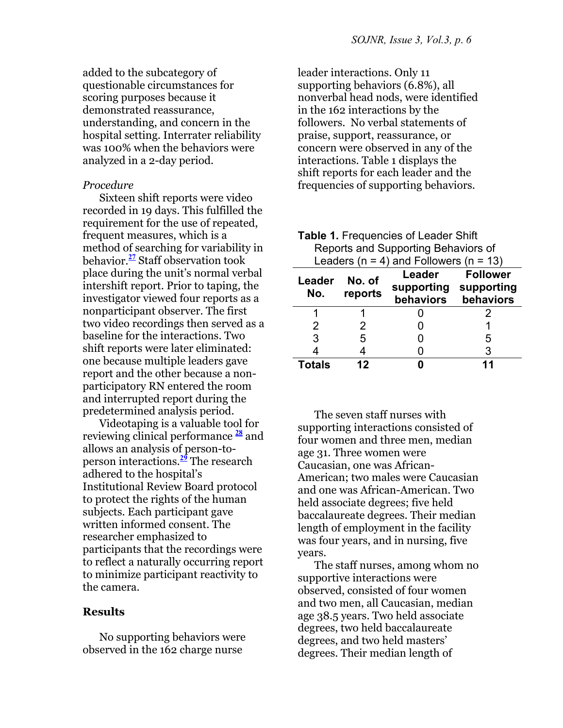added to the subcategory of questionable circumstances for scoring purposes because it demonstrated reassurance, understanding, and concern in the hospital setting. Interrater reliability was 100% when the behaviors were analyzed in a 2-day period.

### *Procedure*

Sixteen shift reports were video recorded in 19 days. This fulfilled the requirement for the use of repeated, frequent measures, which is a method of searching for variability in behavior.**<sup>27</sup>** Staff observation took place during the unit's normal verbal intershift report. Prior to taping, the investigator viewed four reports as a nonparticipant observer. The first two video recordings then served as a baseline for the interactions. Two shift reports were later eliminated: one because multiple leaders gave report and the other because a nonparticipatory RN entered the room and interrupted report during the predetermined analysis period.

Videotaping is a valuable tool for reviewing clinical performance **<sup>28</sup>** and allows an analysis of person-toperson interactions.**<sup>29</sup>** The research adhered to the hospital's Institutional Review Board protocol to protect the rights of the human subjects. Each participant gave written informed consent. The researcher emphasized to participants that the recordings were to reflect a naturally occurring report to minimize participant reactivity to the camera.

# **Results**

No supporting behaviors were observed in the 162 charge nurse

leader interactions. Only 11 supporting behaviors (6.8%), all nonverbal head nods, were identified in the 162 interactions by the followers. No verbal statements of praise, support, reassurance, or concern were observed in any of the interactions. Table 1 displays the shift reports for each leader and the frequencies of supporting behaviors.

| <b>Table 1. Frequencies of Leader Shift</b><br>Reports and Supporting Behaviors of<br>Leaders ( $n = 4$ ) and Followers ( $n = 13$ ) |                   |                                              |                              |  |
|--------------------------------------------------------------------------------------------------------------------------------------|-------------------|----------------------------------------------|------------------------------|--|
| Leader<br>No.                                                                                                                        | No. of<br>reports | Leader<br>supporting supporting<br>behaviors | <b>Follower</b><br>behaviors |  |
| 1                                                                                                                                    |                   |                                              | 2                            |  |
| 2                                                                                                                                    | 2                 |                                              |                              |  |
| 3                                                                                                                                    | 5                 |                                              | 5                            |  |
|                                                                                                                                      | 4                 |                                              | 3                            |  |
| Totals                                                                                                                               | 12                |                                              |                              |  |

The seven staff nurses with supporting interactions consisted of four women and three men, median age 31. Three women were Caucasian, one was African-American; two males were Caucasian and one was African-American. Two held associate degrees; five held baccalaureate degrees. Their median length of employment in the facility was four years, and in nursing, five years.

The staff nurses, among whom no supportive interactions were observed, consisted of four women and two men, all Caucasian, median age 38.5 years. Two held associate degrees, two held baccalaureate degrees, and two held masters' degrees. Their median length of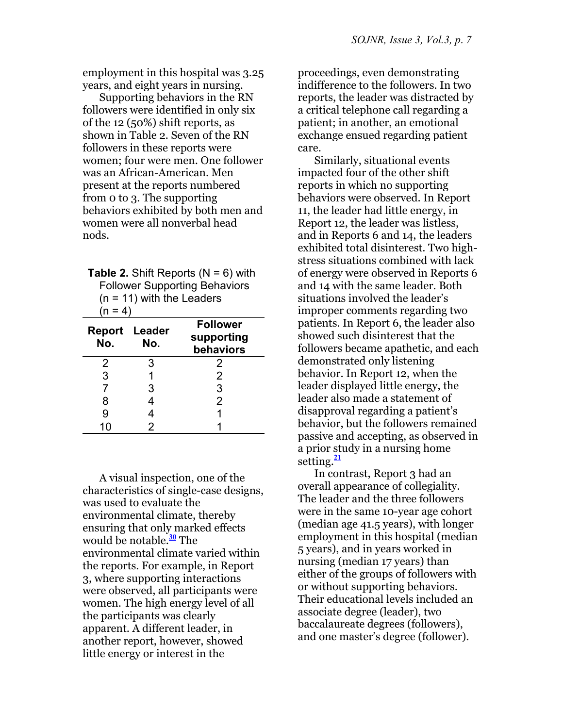employment in this hospital was 3.25 years, and eight years in nursing.

Supporting behaviors in the RN followers were identified in only six of the 12 (50%) shift reports, as shown in Table 2. Seven of the RN followers in these reports were women; four were men. One follower was an African-American. Men present at the reports numbered from 0 to 3. The supporting behaviors exhibited by both men and women were all nonverbal head nods.

| <b>Table 2.</b> Shift Reports ( $N = 6$ ) with |  |  |
|------------------------------------------------|--|--|
| <b>Follower Supporting Behaviors</b>           |  |  |
| $(n = 11)$ with the Leaders                    |  |  |
| $(n = 4)$                                      |  |  |

| . . |                             |                                            |
|-----|-----------------------------|--------------------------------------------|
| No. | <b>Report Leader</b><br>No. | <b>Follower</b><br>supporting<br>behaviors |
| 2   | 3                           | 2                                          |
| 3   |                             | 2                                          |
| 7   | 3                           | 3                                          |
| 8   |                             | $\overline{2}$                             |
| 9   |                             |                                            |
| 10  | 2                           |                                            |

A visual inspection, one of the characteristics of single-case designs, was used to evaluate the environmental climate, thereby ensuring that only marked effects would be notable.**<sup>30</sup>** The environmental climate varied within the reports. For example, in Report 3, where supporting interactions were observed, all participants were women. The high energy level of all the participants was clearly apparent. A different leader, in another report, however, showed little energy or interest in the

proceedings, even demonstrating indifference to the followers. In two reports, the leader was distracted by a critical telephone call regarding a patient; in another, an emotional exchange ensued regarding patient care.

Similarly, situational events impacted four of the other shift reports in which no supporting behaviors were observed. In Report 11, the leader had little energy, in Report 12, the leader was listless, and in Reports 6 and 14, the leaders exhibited total disinterest. Two highstress situations combined with lack of energy were observed in Reports 6 and 14 with the same leader. Both situations involved the leader's improper comments regarding two patients. In Report 6, the leader also showed such disinterest that the followers became apathetic, and each demonstrated only listening behavior. In Report 12, when the leader displayed little energy, the leader also made a statement of disapproval regarding a patient's behavior, but the followers remained passive and accepting, as observed in a prior study in a nursing home setting.**<sup>21</sup>**

In contrast, Report 3 had an overall appearance of collegiality. The leader and the three followers were in the same 10-year age cohort (median age 41.5 years), with longer employment in this hospital (median 5 years), and in years worked in nursing (median 17 years) than either of the groups of followers with or without supporting behaviors. Their educational levels included an associate degree (leader), two baccalaureate degrees (followers), and one master's degree (follower).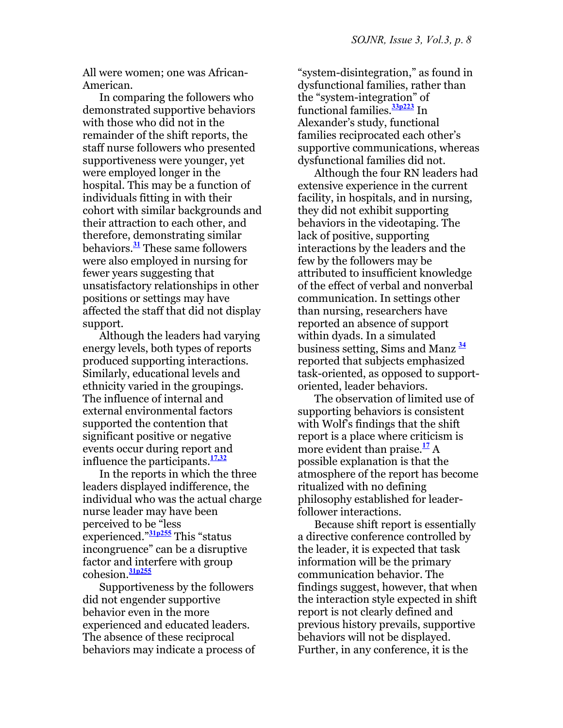All were women; one was African-American.

In comparing the followers who demonstrated supportive behaviors with those who did not in the remainder of the shift reports, the staff nurse followers who presented supportiveness were younger, yet were employed longer in the hospital. This may be a function of individuals fitting in with their cohort with similar backgrounds and their attraction to each other, and therefore, demonstrating similar behaviors.**<sup>31</sup>** These same followers were also employed in nursing for fewer years suggesting that unsatisfactory relationships in other positions or settings may have affected the staff that did not display support.

Although the leaders had varying energy levels, both types of reports produced supporting interactions. Similarly, educational levels and ethnicity varied in the groupings. The influence of internal and external environmental factors supported the contention that significant positive or negative events occur during report and influence the participants.**17,32**

In the reports in which the three leaders displayed indifference, the individual who was the actual charge nurse leader may have been perceived to be "less experienced."**31p255** This "status incongruence" can be a disruptive factor and interfere with group cohesion.**31p255**

Supportiveness by the followers did not engender supportive behavior even in the more experienced and educated leaders. The absence of these reciprocal behaviors may indicate a process of

"system-disintegration," as found in dysfunctional families, rather than the "system-integration" of functional families.**33p223** In Alexander's study, functional families reciprocated each other's supportive communications, whereas dysfunctional families did not.

Although the four RN leaders had extensive experience in the current facility, in hospitals, and in nursing, they did not exhibit supporting behaviors in the videotaping. The lack of positive, supporting interactions by the leaders and the few by the followers may be attributed to insufficient knowledge of the effect of verbal and nonverbal communication. In settings other than nursing, researchers have reported an absence of support within dyads. In a simulated business setting, Sims and Manz **<sup>34</sup>** reported that subjects emphasized task-oriented, as opposed to supportoriented, leader behaviors.

The observation of limited use of supporting behaviors is consistent with Wolf's findings that the shift report is a place where criticism is more evident than praise.<sup>17</sup> A possible explanation is that the atmosphere of the report has become ritualized with no defining philosophy established for leaderfollower interactions.

Because shift report is essentially a directive conference controlled by the leader, it is expected that task information will be the primary communication behavior. The findings suggest, however, that when the interaction style expected in shift report is not clearly defined and previous history prevails, supportive behaviors will not be displayed. Further, in any conference, it is the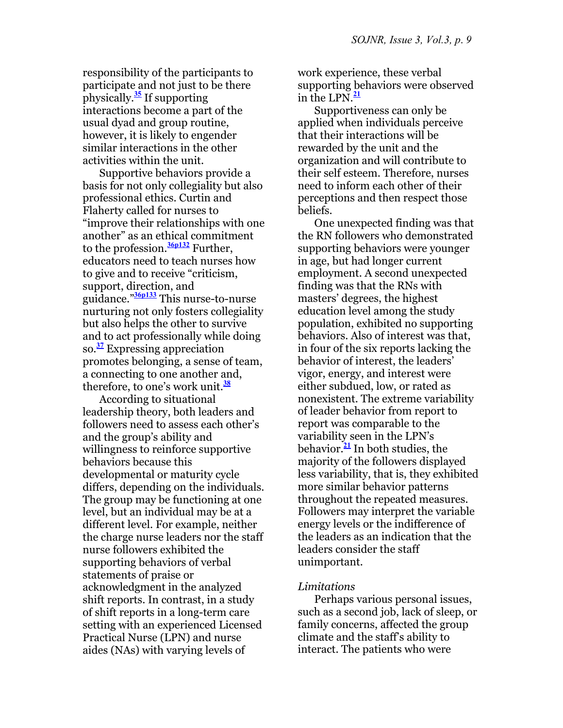responsibility of the participants to participate and not just to be there physically.**<sup>35</sup>** If supporting interactions become a part of the usual dyad and group routine, however, it is likely to engender similar interactions in the other activities within the unit.

Supportive behaviors provide a basis for not only collegiality but also professional ethics. Curtin and Flaherty called for nurses to "improve their relationships with one another" as an ethical commitment to the profession.**36p132** Further, educators need to teach nurses how to give and to receive "criticism, support, direction, and guidance."**36p133** This nurse-to-nurse nurturing not only fosters collegiality but also helps the other to survive and to act professionally while doing so.**<sup>37</sup>** Expressing appreciation promotes belonging, a sense of team, a connecting to one another and, therefore, to one's work unit.**<sup>38</sup>**

According to situational leadership theory, both leaders and followers need to assess each other's and the group's ability and willingness to reinforce supportive behaviors because this developmental or maturity cycle differs, depending on the individuals. The group may be functioning at one level, but an individual may be at a different level. For example, neither the charge nurse leaders nor the staff nurse followers exhibited the supporting behaviors of verbal statements of praise or acknowledgment in the analyzed shift reports. In contrast, in a study of shift reports in a long-term care setting with an experienced Licensed Practical Nurse (LPN) and nurse aides (NAs) with varying levels of

work experience, these verbal supporting behaviors were observed in the LPN. $\frac{21}{2}$ 

Supportiveness can only be applied when individuals perceive that their interactions will be rewarded by the unit and the organization and will contribute to their self esteem. Therefore, nurses need to inform each other of their perceptions and then respect those beliefs.

One unexpected finding was that the RN followers who demonstrated supporting behaviors were younger in age, but had longer current employment. A second unexpected finding was that the RNs with masters' degrees, the highest education level among the study population, exhibited no supporting behaviors. Also of interest was that, in four of the six reports lacking the behavior of interest, the leaders' vigor, energy, and interest were either subdued, low, or rated as nonexistent. The extreme variability of leader behavior from report to report was comparable to the variability seen in the LPN's behavior.**<sup>21</sup>** In both studies, the majority of the followers displayed less variability, that is, they exhibited more similar behavior patterns throughout the repeated measures. Followers may interpret the variable energy levels or the indifference of the leaders as an indication that the leaders consider the staff unimportant.

#### *Limitations*

Perhaps various personal issues, such as a second job, lack of sleep, or family concerns, affected the group climate and the staff's ability to interact. The patients who were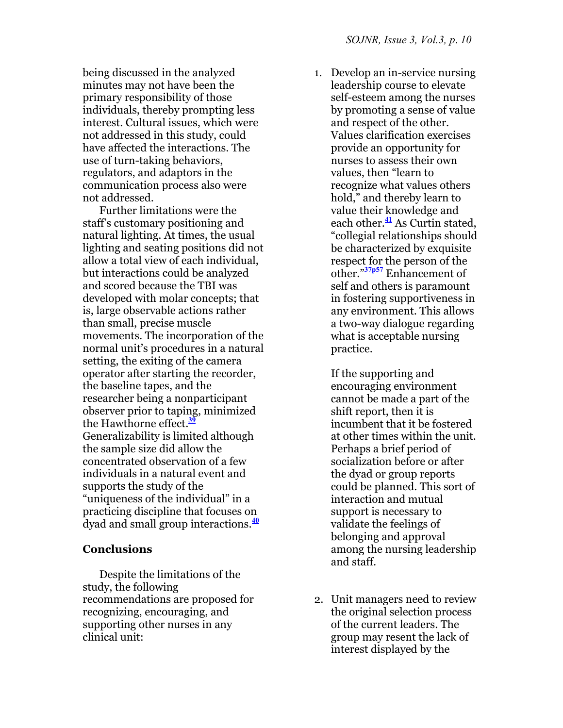being discussed in the analyzed minutes may not have been the primary responsibility of those individuals, thereby prompting less interest. Cultural issues, which were not addressed in this study, could have affected the interactions. The use of turn-taking behaviors, regulators, and adaptors in the communication process also were not addressed.

Further limitations were the staff's customary positioning and natural lighting. At times, the usual lighting and seating positions did not allow a total view of each individual, but interactions could be analyzed and scored because the TBI was developed with molar concepts; that is, large observable actions rather than small, precise muscle movements. The incorporation of the normal unit's procedures in a natural setting, the exiting of the camera operator after starting the recorder, the baseline tapes, and the researcher being a nonparticipant observer prior to taping, minimized the Hawthorne effect.**<sup>39</sup>** Generalizability is limited although the sample size did allow the concentrated observation of a few individuals in a natural event and supports the study of the "uniqueness of the individual" in a practicing discipline that focuses on dyad and small group interactions.**<sup>40</sup>**

# **Conclusions**

Despite the limitations of the study, the following recommendations are proposed for recognizing, encouraging, and supporting other nurses in any clinical unit:

1. Develop an in-service nursing leadership course to elevate self-esteem among the nurses by promoting a sense of value and respect of the other. Values clarification exercises provide an opportunity for nurses to assess their own values, then "learn to recognize what values others hold," and thereby learn to value their knowledge and each other.**<sup>41</sup>** As Curtin stated, "collegial relationships should be characterized by exquisite respect for the person of the other."**37p57** Enhancement of self and others is paramount in fostering supportiveness in any environment. This allows a two-way dialogue regarding what is acceptable nursing practice.

If the supporting and encouraging environment cannot be made a part of the shift report, then it is incumbent that it be fostered at other times within the unit. Perhaps a brief period of socialization before or after the dyad or group reports could be planned. This sort of interaction and mutual support is necessary to validate the feelings of belonging and approval among the nursing leadership and staff.

2. Unit managers need to review the original selection process of the current leaders. The group may resent the lack of interest displayed by the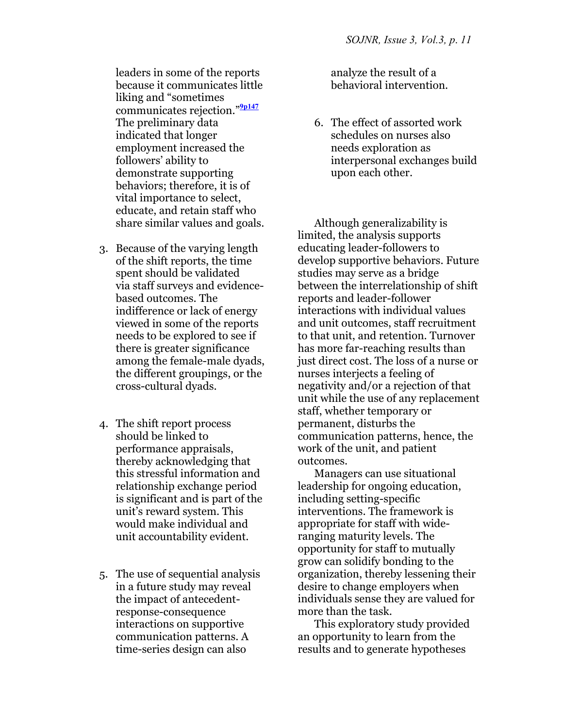leaders in some of the reports because it communicates little liking and "sometimes communicates rejection."**9p147** The preliminary data indicated that longer employment increased the followers' ability to demonstrate supporting behaviors; therefore, it is of vital importance to select, educate, and retain staff who share similar values and goals.

- 3. Because of the varying length of the shift reports, the time spent should be validated via staff surveys and evidencebased outcomes. The indifference or lack of energy viewed in some of the reports needs to be explored to see if there is greater significance among the female-male dyads, the different groupings, or the cross-cultural dyads.
- 4. The shift report process should be linked to performance appraisals, thereby acknowledging that this stressful information and relationship exchange period is significant and is part of the unit's reward system. This would make individual and unit accountability evident.
- 5. The use of sequential analysis in a future study may reveal the impact of antecedentresponse-consequence interactions on supportive communication patterns. A time-series design can also

analyze the result of a behavioral intervention.

6. The effect of assorted work schedules on nurses also needs exploration as interpersonal exchanges build upon each other.

Although generalizability is limited, the analysis supports educating leader-followers to develop supportive behaviors. Future studies may serve as a bridge between the interrelationship of shift reports and leader-follower interactions with individual values and unit outcomes, staff recruitment to that unit, and retention. Turnover has more far-reaching results than just direct cost. The loss of a nurse or nurses interjects a feeling of negativity and/or a rejection of that unit while the use of any replacement staff, whether temporary or permanent, disturbs the communication patterns, hence, the work of the unit, and patient outcomes.

Managers can use situational leadership for ongoing education, including setting-specific interventions. The framework is appropriate for staff with wideranging maturity levels. The opportunity for staff to mutually grow can solidify bonding to the organization, thereby lessening their desire to change employers when individuals sense they are valued for more than the task.

This exploratory study provided an opportunity to learn from the results and to generate hypotheses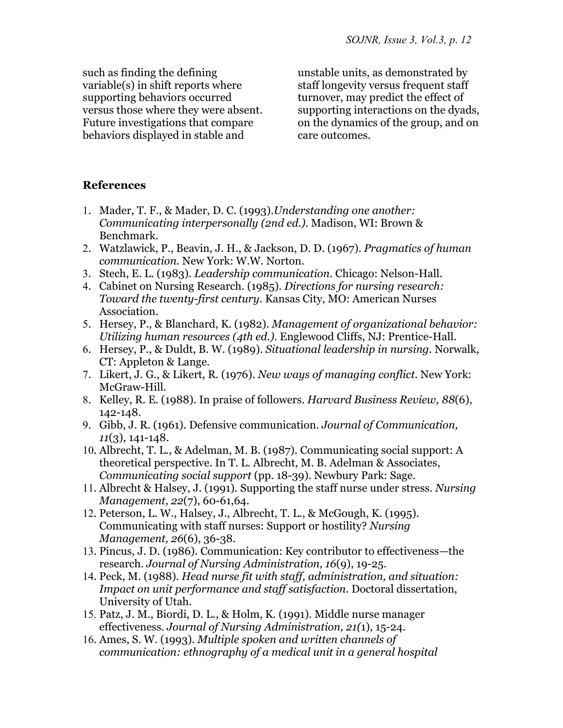such as finding the defining variable(s) in shift reports where supporting behaviors occurred versus those where they were absent. Future investigations that compare behaviors displayed in stable and

unstable units, as demonstrated by staff longevity versus frequent staff turnover, may predict the effect of supporting interactions on the dyads, on the dynamics of the group, and on care outcomes.

# **References**

- 1. Mader, T. F., & Mader, D. C. (1993).*Understanding one another: Communicating interpersonally (2nd ed.).* Madison, WI: Brown & Benchmark.
- 2. Watzlawick, P., Beavin, J. H., & Jackson, D. D. (1967). *Pragmatics of human communication*. New York: W.W. Norton.
- 3. Stech, E. L. (1983). *Leadership communication*. Chicago: Nelson-Hall.
- 4. Cabinet on Nursing Research. (1985). *Directions for nursing research: Toward the twenty-first century.* Kansas City, MO: American Nurses Association.
- 5. Hersey, P., & Blanchard, K. (1982). *Management of organizational behavior: Utilizing human resources (4th ed.).* Englewood Cliffs, NJ: Prentice-Hall.
- 6. Hersey, P., & Duldt, B. W. (1989). *Situational leadership in nursing.* Norwalk, CT: Appleton & Lange.
- 7. Likert, J. G., & Likert, R. (1976). *New ways of managing conflict*. New York: McGraw-Hill.
- 8. Kelley, R. E. (1988). In praise of followers. *Harvard Business Review, 88*(6), 142-148.
- 9. Gibb, J. R. (1961). Defensive communication. *Journal of Communication, 11*(3), 141-148.
- 10. Albrecht, T. L., & Adelman, M. B. (1987). Communicating social support: A theoretical perspective. In T. L. Albrecht, M. B. Adelman & Associates, *Communicating social support* (pp. 18-39). Newbury Park: Sage.
- 11. Albrecht & Halsey, J. (1991). Supporting the staff nurse under stress. *Nursing Management, 22*(7), 60-61,64.
- 12. Peterson, L. W., Halsey, J., Albrecht, T. L., & McGough, K. (1995). Communicating with staff nurses: Support or hostility? *Nursing Management, 26*(6), 36-38.
- 13. Pincus, J. D. (1986). Communication: Key contributor to effectiveness—the research. *Journal of Nursing Administration, 16*(9), 19-25.
- 14. Peck, M. (1988). *Head nurse fit with staff, administration, and situation: Impact on unit performance and staff satisfaction*. Doctoral dissertation, University of Utah.
- 15. Patz, J. M., Biordi, D. L., & Holm, K. (1991). Middle nurse manager effectiveness. *Journal of Nursing Administration, 21(*1), 15-24.
- 16. Ames, S. W. (1993). *Multiple spoken and written channels of communication: ethnography of a medical unit in a general hospital*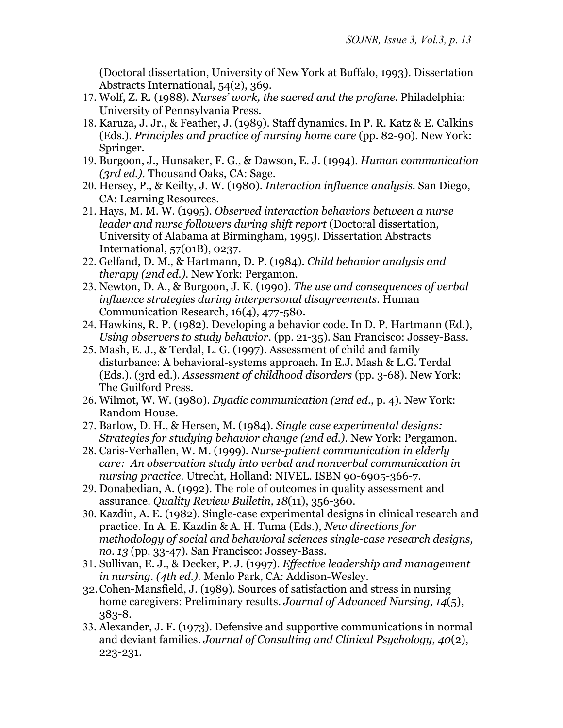(Doctoral dissertation, University of New York at Buffalo, 1993). Dissertation Abstracts International, 54(2), 369.

- 17. Wolf, Z. R. (1988). *Nurses' work, the sacred and the profane.* Philadelphia: University of Pennsylvania Press.
- 18. Karuza, J. Jr., & Feather, J. (1989). Staff dynamics. In P. R. Katz & E. Calkins (Eds.). *Principles and practice of nursing home care* (pp. 82-90). New York: Springer.
- 19. Burgoon, J., Hunsaker, F. G., & Dawson, E. J. (1994). *Human communication (3rd ed.).* Thousand Oaks, CA: Sage.
- 20. Hersey, P., & Keilty, J. W. (1980). *Interaction influence analysis.* San Diego, CA: Learning Resources.
- 21. Hays, M. M. W. (1995). *Observed interaction behaviors between a nurse leader and nurse followers during shift report* (Doctoral dissertation, University of Alabama at Birmingham, 1995). Dissertation Abstracts International, 57(01B), 0237.
- 22. Gelfand, D. M., & Hartmann, D. P. (1984). *Child behavior analysis and therapy (2nd ed.).* New York: Pergamon.
- 23. Newton, D. A., & Burgoon, J. K. (1990). *The use and consequences of verbal influence strategies during interpersonal disagreements.* Human Communication Research, 16(4), 477-580.
- 24. Hawkins, R. P. (1982). Developing a behavior code. In D. P. Hartmann (Ed.), *Using observers to study behavior.* (pp. 21-35). San Francisco: Jossey-Bass.
- 25. Mash, E. J., & Terdal, L. G. (1997). Assessment of child and family disturbance: A behavioral-systems approach. In E.J. Mash & L.G. Terdal (Eds.). (3rd ed.). *Assessment of childhood disorders* (pp. 3-68). New York: The Guilford Press.
- 26. Wilmot, W. W. (1980). *Dyadic communication (2nd ed.,* p. 4). New York: Random House.
- 27. Barlow, D. H., & Hersen, M. (1984). *Single case experimental designs: Strategies for studying behavior change (2nd ed.).* New York: Pergamon.
- 28. Caris-Verhallen, W. M. (1999). *Nurse-patient communication in elderly care: An observation study into verbal and nonverbal communication in nursing practice.* Utrecht, Holland: NIVEL. ISBN 90-6905-366-7.
- 29. Donabedian, A. (1992). The role of outcomes in quality assessment and assurance. *Quality Review Bulletin, 18*(11), 356-360.
- 30. Kazdin, A. E. (1982). Single-case experimental designs in clinical research and practice. In A. E. Kazdin & A. H. Tuma (Eds.), *New directions for methodology of social and behavioral sciences single-case research designs, no. 13* (pp. 33-47). San Francisco: Jossey-Bass.
- 31. Sullivan, E. J., & Decker, P. J. (1997). *Effective leadership and management in nursing. (4th ed.).* Menlo Park, CA: Addison-Wesley.
- 32. Cohen-Mansfield, J. (1989). Sources of satisfaction and stress in nursing home caregivers: Preliminary results. *Journal of Advanced Nursing, 14*(5), 383-8.
- 33. Alexander, J. F. (1973). Defensive and supportive communications in normal and deviant families. *Journal of Consulting and Clinical Psychology, 40*(2), 223-231.